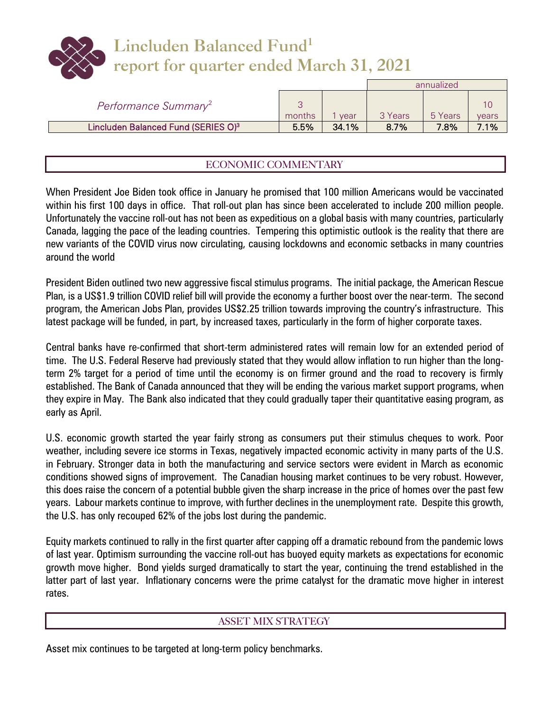# **Lincluden Balanced Fund<sup>1</sup> report for quarter ended March 31, 2021**

|                                                 |        |       |         | annualized |       |
|-------------------------------------------------|--------|-------|---------|------------|-------|
| Performance Summary <sup>2</sup>                | months | vear  | 3 Years | 5 Years    | vears |
| Lincluden Balanced Fund (SERIES O) <sup>3</sup> | 5.5%   | 34.1% | 8.7%    | 7.8%       | 7 1%  |

# ECONOMIC COMMENTARY

When President Joe Biden took office in January he promised that 100 million Americans would be vaccinated within his first 100 days in office. That roll-out plan has since been accelerated to include 200 million people. Unfortunately the vaccine roll-out has not been as expeditious on a global basis with many countries, particularly Canada, lagging the pace of the leading countries. Tempering this optimistic outlook is the reality that there are new variants of the COVID virus now circulating, causing lockdowns and economic setbacks in many countries around the world

President Biden outlined two new aggressive fiscal stimulus programs. The initial package, the American Rescue Plan, is a US\$1.9 trillion COVID relief bill will provide the economy a further boost over the near-term. The second program, the American Jobs Plan, provides US\$2.25 trillion towards improving the country's infrastructure. This latest package will be funded, in part, by increased taxes, particularly in the form of higher corporate taxes.

Central banks have re-confirmed that short-term administered rates will remain low for an extended period of time. The U.S. Federal Reserve had previously stated that they would allow inflation to run higher than the longterm 2% target for a period of time until the economy is on firmer ground and the road to recovery is firmly established. The Bank of Canada announced that they will be ending the various market support programs, when they expire in May. The Bank also indicated that they could gradually taper their quantitative easing program, as early as April.

U.S. economic growth started the year fairly strong as consumers put their stimulus cheques to work. Poor weather, including severe ice storms in Texas, negatively impacted economic activity in many parts of the U.S. in February. Stronger data in both the manufacturing and service sectors were evident in March as economic conditions showed signs of improvement. The Canadian housing market continues to be very robust. However, this does raise the concern of a potential bubble given the sharp increase in the price of homes over the past few years. Labour markets continue to improve, with further declines in the unemployment rate. Despite this growth, the U.S. has only recouped 62% of the jobs lost during the pandemic.

Equity markets continued to rally in the first quarter after capping off a dramatic rebound from the pandemic lows of last year. Optimism surrounding the vaccine roll-out has buoyed equity markets as expectations for economic growth move higher. Bond yields surged dramatically to start the year, continuing the trend established in the latter part of last year. Inflationary concerns were the prime catalyst for the dramatic move higher in interest rates.

### ASSET MIX STRATEGY

Asset mix continues to be targeted at long-term policy benchmarks.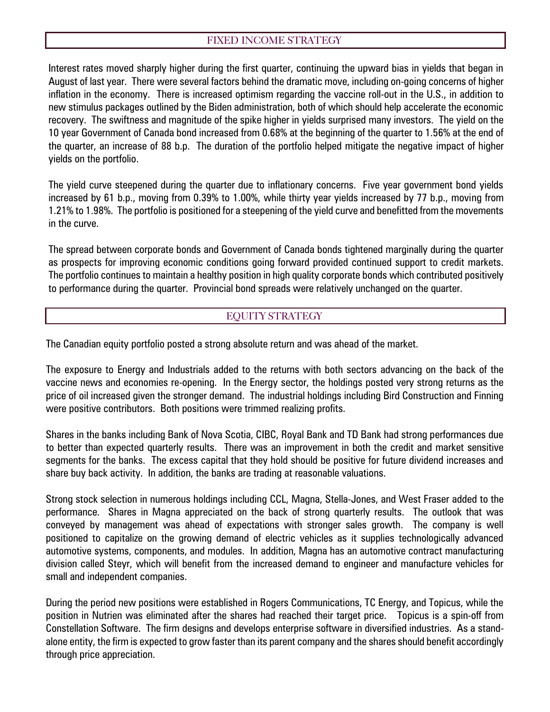## FIXED INCOME STRATEGY

Interest rates moved sharply higher during the first quarter, continuing the upward bias in yields that began in August of last year. There were several factors behind the dramatic move, including on-going concerns of higher inflation in the economy. There is increased optimism regarding the vaccine roll-out in the U.S., in addition to new stimulus packages outlined by the Biden administration, both of which should help accelerate the economic recovery. The swiftness and magnitude of the spike higher in yields surprised many investors. The yield on the 10 year Government of Canada bond increased from 0.68% at the beginning of the quarter to 1.56% at the end of the quarter, an increase of 88 b.p. The duration of the portfolio helped mitigate the negative impact of higher yields on the portfolio.

The yield curve steepened during the quarter due to inflationary concerns. Five year government bond yields increased by 61 b.p., moving from 0.39% to 1.00%, while thirty year yields increased by 77 b.p., moving from 1.21% to 1.98%. The portfolio is positioned for a steepening of the yield curve and benefitted from the movements in the curve.

The spread between corporate bonds and Government of Canada bonds tightened marginally during the quarter as prospects for improving economic conditions going forward provided continued support to credit markets. The portfolio continues to maintain a healthy position in high quality corporate bonds which contributed positively to performance during the quarter. Provincial bond spreads were relatively unchanged on the quarter.

### EQUITY STRATEGY

The Canadian equity portfolio posted a strong absolute return and was ahead of the market.

The exposure to Energy and Industrials added to the returns with both sectors advancing on the back of the vaccine news and economies re-opening. In the Energy sector, the holdings posted very strong returns as the price of oil increased given the stronger demand. The industrial holdings including Bird Construction and Finning were positive contributors. Both positions were trimmed realizing profits.

Shares in the banks including Bank of Nova Scotia, CIBC, Royal Bank and TD Bank had strong performances due to better than expected quarterly results. There was an improvement in both the credit and market sensitive segments for the banks. The excess capital that they hold should be positive for future dividend increases and share buy back activity. In addition, the banks are trading at reasonable valuations.

Strong stock selection in numerous holdings including CCL, Magna, Stella-Jones, and West Fraser added to the performance. Shares in Magna appreciated on the back of strong quarterly results. The outlook that was conveyed by management was ahead of expectations with stronger sales growth. The company is well positioned to capitalize on the growing demand of electric vehicles as it supplies technologically advanced automotive systems, components, and modules. In addition, Magna has an automotive contract manufacturing division called Steyr, which will benefit from the increased demand to engineer and manufacture vehicles for small and independent companies.

During the period new positions were established in Rogers Communications, TC Energy, and Topicus, while the position in Nutrien was eliminated after the shares had reached their target price. Topicus is a spin-off from Constellation Software. The firm designs and develops enterprise software in diversified industries. As a standalone entity, the firm is expected to grow faster than its parent company and the shares should benefit accordingly through price appreciation.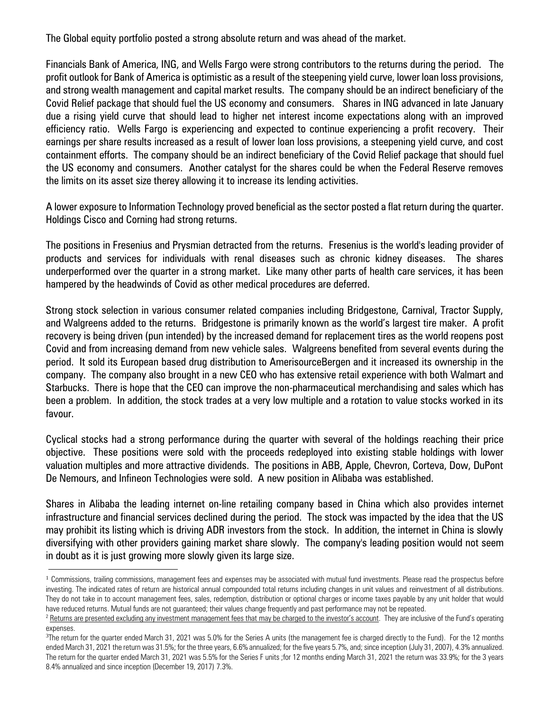The Global equity portfolio posted a strong absolute return and was ahead of the market.

Financials Bank of America, ING, and Wells Fargo were strong contributors to the returns during the period. The profit outlook for Bank of America is optimistic as a result of the steepening yield curve, lower loan loss provisions, and strong wealth management and capital market results. The company should be an indirect beneficiary of the Covid Relief package that should fuel the US economy and consumers. Shares in ING advanced in late January due a rising yield curve that should lead to higher net interest income expectations along with an improved efficiency ratio. Wells Fargo is experiencing and expected to continue experiencing a profit recovery. Their earnings per share results increased as a result of lower loan loss provisions, a steepening yield curve, and cost containment efforts. The company should be an indirect beneficiary of the Covid Relief package that should fuel the US economy and consumers. Another catalyst for the shares could be when the Federal Reserve removes the limits on its asset size therey allowing it to increase its lending activities.

A lower exposure to Information Technology proved beneficial as the sector posted a flat return during the quarter. Holdings Cisco and Corning had strong returns.

The positions in Fresenius and Prysmian detracted from the returns. Fresenius is the world's leading provider of products and services for individuals with renal diseases such as chronic kidney diseases. The shares underperformed over the quarter in a strong market. Like many other parts of health care services, it has been hampered by the headwinds of Covid as other medical procedures are deferred.

Strong stock selection in various consumer related companies including Bridgestone, Carnival, Tractor Supply, and Walgreens added to the returns. Bridgestone is primarily known as the world's largest tire maker. A profit recovery is being driven (pun intended) by the increased demand for replacement tires as the world reopens post Covid and from increasing demand from new vehicle sales. Walgreens benefited from several events during the period. It sold its European based drug distribution to AmerisourceBergen and it increased its ownership in the company. The company also brought in a new CEO who has extensive retail experience with both Walmart and Starbucks. There is hope that the CEO can improve the non-pharmaceutical merchandising and sales which has been a problem. In addition, the stock trades at a very low multiple and a rotation to value stocks worked in its favour.

Cyclical stocks had a strong performance during the quarter with several of the holdings reaching their price objective. These positions were sold with the proceeds redeployed into existing stable holdings with lower valuation multiples and more attractive dividends. The positions in ABB, Apple, Chevron, Corteva, Dow, DuPont De Nemours, and Infineon Technologies were sold. A new position in Alibaba was established.

Shares in Alibaba the leading internet on-line retailing company based in China which also provides internet infrastructure and financial services declined during the period. The stock was impacted by the idea that the US may prohibit its listing which is driving ADR investors from the stock. In addition, the internet in China is slowly diversifying with other providers gaining market share slowly. The company's leading position would not seem in doubt as it is just growing more slowly given its large size.

 $\overline{a}$ 

<sup>&</sup>lt;sup>1</sup> Commissions, trailing commissions, management fees and expenses may be associated with mutual fund investments. Please read the prospectus before investing. The indicated rates of return are historical annual compounded total returns including changes in unit values and reinvestment of all distributions. They do not take in to account management fees, sales, redemption, distribution or optional charges or income taxes payable by any unit holder that would have reduced returns. Mutual funds are not guaranteed; their values change frequently and past performance may not be repeated.

<sup>&</sup>lt;sup>2</sup> Returns are presented excluding any investment management fees that may be charged to the investor's account. They are inclusive of the Fund's operating expenses.

<sup>&</sup>lt;sup>3</sup>The return for the quarter ended March 31, 2021 was 5.0% for the Series A units (the management fee is charged directly to the Fund). For the 12 months ended March 31, 2021 the return was 31.5%; for the three years, 6.6% annualized; for the five years 5.7%, and; since inception (July 31, 2007), 4.3% annualized. The return for the quarter ended March 31, 2021 was 5.5% for the Series F units ;for 12 months ending March 31, 2021 the return was 33.9%; for the 3 years 8.4% annualized and since inception (December 19, 2017) 7.3%.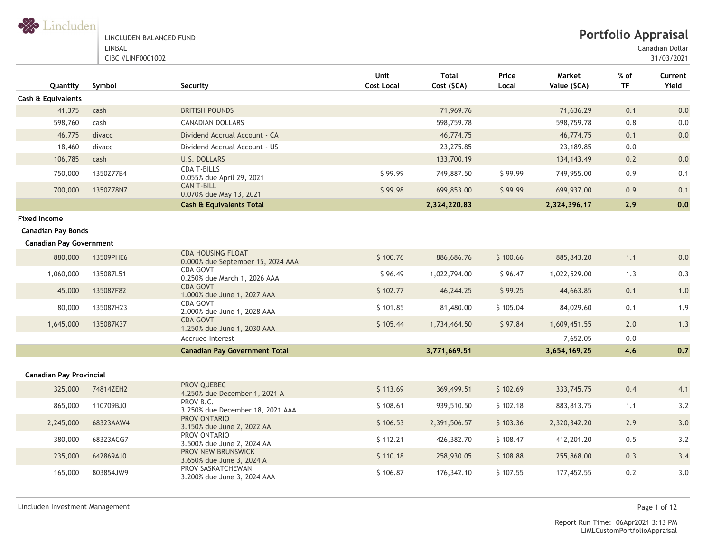#### LINCLUDEN BALANCED FUND LINBAL

CIBC #LINF0001002

Canadian Dollar

| Quantity                       | Symbol    | Security                                                      | Unit<br><b>Cost Local</b> | <b>Total</b><br>Cost (\$CA) | Price<br>Local | Market<br>Value (\$CA) | $%$ of<br><b>TF</b> | Current<br>Yield |
|--------------------------------|-----------|---------------------------------------------------------------|---------------------------|-----------------------------|----------------|------------------------|---------------------|------------------|
| Cash & Equivalents             |           |                                                               |                           |                             |                |                        |                     |                  |
| 41,375                         | cash      | <b>BRITISH POUNDS</b>                                         |                           | 71,969.76                   |                | 71,636.29              | 0.1                 | 0.0              |
| 598,760                        | cash      | <b>CANADIAN DOLLARS</b>                                       |                           | 598,759.78                  |                | 598,759.78             | 0.8                 | $0.0\,$          |
| 46,775                         | divacc    | Dividend Accrual Account - CA                                 |                           | 46,774.75                   |                | 46,774.75              | 0.1                 | 0.0              |
| 18,460                         | divacc    | Dividend Accrual Account - US                                 |                           | 23,275.85                   |                | 23,189.85              | 0.0                 |                  |
| 106,785                        | cash      | U.S. DOLLARS                                                  |                           | 133,700.19                  |                | 134, 143.49            | 0.2                 | 0.0              |
| 750,000                        | 1350Z77B4 | <b>CDA T-BILLS</b><br>0.055% due April 29, 2021               | \$99.99                   | 749,887.50                  | \$99.99        | 749,955.00             | 0.9                 | 0.1              |
| 700,000                        | 1350Z78N7 | <b>CAN T-BILL</b><br>0.070% due May 13, 2021                  | \$99.98                   | 699,853.00                  | \$99.99        | 699,937.00             | 0.9                 | 0.1              |
|                                |           | <b>Cash &amp; Equivalents Total</b>                           |                           | 2,324,220.83                |                | 2,324,396.17           | 2.9                 | 0.0              |
| <b>Fixed Income</b>            |           |                                                               |                           |                             |                |                        |                     |                  |
| <b>Canadian Pay Bonds</b>      |           |                                                               |                           |                             |                |                        |                     |                  |
| <b>Canadian Pay Government</b> |           |                                                               |                           |                             |                |                        |                     |                  |
| 880,000                        | 13509PHE6 | <b>CDA HOUSING FLOAT</b><br>0.000% due September 15, 2024 AAA | \$100.76                  | 886,686.76                  | \$100.66       | 885, 843.20            | 1.1                 | 0.0              |
| 1,060,000                      | 135087L51 | CDA GOVT<br>0.250% due March 1, 2026 AAA                      | \$96.49                   | 1,022,794.00                | \$96.47        | 1,022,529.00           | 1.3                 | 0.3              |
| 45,000                         | 135087F82 | <b>CDA GOVT</b><br>1.000% due June 1, 2027 AAA                | \$102.77                  | 46,244.25                   | \$99.25        | 44,663.85              | 0.1                 | 1.0              |
| 80,000                         | 135087H23 | CDA GOVT<br>2.000% due June 1, 2028 AAA                       | \$101.85                  | 81,480.00                   | \$105.04       | 84,029.60              | 0.1                 | 1.9              |
| 1,645,000                      | 135087K37 | <b>CDA GOVT</b><br>1.250% due June 1, 2030 AAA                | \$105.44                  | 1,734,464.50                | \$97.84        | 1,609,451.55           | 2.0                 | 1.3              |
|                                |           | <b>Accrued Interest</b>                                       |                           |                             |                | 7,652.05               | 0.0                 |                  |
|                                |           | <b>Canadian Pay Government Total</b>                          |                           | 3,771,669.51                |                | 3,654,169.25           | 4.6                 | 0.7              |
| <b>Canadian Pay Provincial</b> |           |                                                               |                           |                             |                |                        |                     |                  |
| 325,000                        | 74814ZEH2 | PROV OUEBEC<br>4.250% due December 1, 2021 A                  | \$113.69                  | 369,499.51                  | \$102.69       | 333,745.75             | 0.4                 | 4.1              |
| 865,000                        | 110709BJ0 | PROV B.C.<br>3.250% due December 18, 2021 AAA                 | \$108.61                  | 939,510.50                  | \$102.18       | 883,813.75             | 1.1                 | 3.2              |
| 2,245,000                      | 68323AAW4 | PROV ONTARIO<br>3.150% due June 2, 2022 AA                    | \$106.53                  | 2,391,506.57                | \$103.36       | 2,320,342.20           | 2.9                 | 3.0              |
| 380,000                        | 68323ACG7 | PROV ONTARIO<br>3.500% due June 2, 2024 AA                    | \$112.21                  | 426,382.70                  | \$108.47       | 412,201.20             | 0.5                 | 3.2              |
| 235,000                        | 642869AJ0 | PROV NEW BRUNSWICK<br>3.650% due June 3, 2024 A               | \$110.18                  | 258,930.05                  | \$108.88       | 255,868.00             | 0.3                 | 3.4              |
| 165,000                        | 803854JW9 | PROV SASKATCHEWAN<br>3.200% due June 3, 2024 AAA              | \$106.87                  | 176,342.10                  | \$107.55       | 177,452.55             | 0.2                 | 3.0              |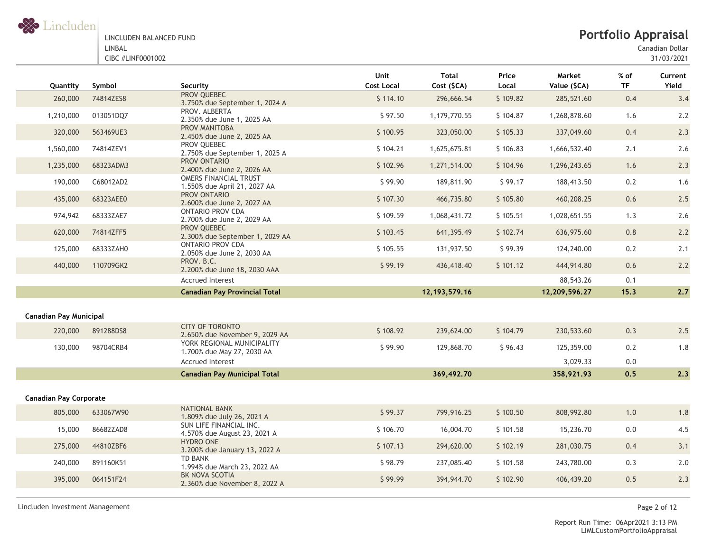

Canadian Dollar

| Quantity                      | Symbol    | Security                                                     | <b>Unit</b><br><b>Cost Local</b> | <b>Total</b><br>Cost (\$CA) | Price<br>Local | Market<br>Value (\$CA) | $%$ of<br><b>TF</b> | Current<br>Yield |
|-------------------------------|-----------|--------------------------------------------------------------|----------------------------------|-----------------------------|----------------|------------------------|---------------------|------------------|
| 260,000                       | 74814ZES8 | PROV QUEBEC<br>3.750% due September 1, 2024 A                | \$114.10                         | 296,666.54                  | \$109.82       | 285,521.60             | 0.4                 | 3.4              |
| 1,210,000                     | 013051DQ7 | PROV. ALBERTA<br>2.350% due June 1, 2025 AA                  | \$97.50                          | 1,179,770.55                | \$104.87       | 1,268,878.60           | 1.6                 | 2.2              |
| 320,000                       | 563469UE3 | <b>PROV MANITOBA</b><br>2.450% due June 2, 2025 AA           | \$100.95                         | 323,050.00                  | \$105.33       | 337,049.60             | 0.4                 | 2.3              |
| 1,560,000                     | 74814ZEV1 | PROV QUEBEC<br>2.750% due September 1, 2025 A                | \$104.21                         | 1,625,675.81                | \$106.83       | 1,666,532.40           | 2.1                 | 2.6              |
| 1,235,000                     | 68323ADM3 | PROV ONTARIO<br>2.400% due June 2, 2026 AA                   | \$102.96                         | 1,271,514.00                | \$104.96       | 1,296,243.65           | 1.6                 | 2.3              |
| 190,000                       | C68012AD2 | <b>OMERS FINANCIAL TRUST</b><br>1.550% due April 21, 2027 AA | \$99.90                          | 189,811.90                  | \$99.17        | 188,413.50             | 0.2                 | 1.6              |
| 435,000                       | 68323AEE0 | PROV ONTARIO<br>2.600% due June 2, 2027 AA                   | \$107.30                         | 466,735.80                  | \$105.80       | 460,208.25             | 0.6                 | 2.5              |
| 974,942                       | 68333ZAE7 | <b>ONTARIO PROV CDA</b><br>2.700% due June 2, 2029 AA        | \$109.59                         | 1,068,431.72                | \$105.51       | 1,028,651.55           | 1.3                 | 2.6              |
| 620,000                       | 74814ZFF5 | PROV QUEBEC<br>2.300% due September 1, 2029 AA               | \$103.45                         | 641,395.49                  | \$102.74       | 636,975.60             | 0.8                 | 2.2              |
| 125,000                       | 68333ZAH0 | <b>ONTARIO PROV CDA</b><br>2.050% due June 2, 2030 AA        | \$105.55                         | 131,937.50                  | \$99.39        | 124,240.00             | 0.2                 | 2.1              |
| 440,000                       | 110709GK2 | PROV. B.C.<br>2.200% due June 18, 2030 AAA                   | \$99.19                          | 436,418.40                  | \$101.12       | 444,914.80             | 0.6                 | 2.2              |
|                               |           | <b>Accrued Interest</b>                                      |                                  |                             |                | 88,543.26              | 0.1                 |                  |
|                               |           | <b>Canadian Pay Provincial Total</b>                         |                                  | 12, 193, 579. 16            |                | 12,209,596.27          | 15.3                | 2.7              |
|                               |           |                                                              |                                  |                             |                |                        |                     |                  |
| <b>Canadian Pay Municipal</b> |           |                                                              |                                  |                             |                |                        |                     |                  |
| 220,000                       | 891288DS8 | <b>CITY OF TORONTO</b><br>2.650% due November 9, 2029 AA     | \$108.92                         | 239,624.00                  | \$104.79       | 230,533.60             | 0.3                 | 2.5              |
| 130,000                       | 98704CRB4 | YORK REGIONAL MUNICIPALITY<br>1.700% due May 27, 2030 AA     | \$99.90                          | 129,868.70                  | \$96.43        | 125,359.00             | 0.2                 | 1.8              |
|                               |           | <b>Accrued Interest</b>                                      |                                  |                             |                | 3,029.33               | 0.0                 |                  |
|                               |           | <b>Canadian Pay Municipal Total</b>                          |                                  | 369,492.70                  |                | 358,921.93             | 0, 5                | 2.3              |
|                               |           |                                                              |                                  |                             |                |                        |                     |                  |
| <b>Canadian Pay Corporate</b> |           |                                                              |                                  |                             |                |                        |                     |                  |
| 805,000                       | 633067W90 | <b>NATIONAL BANK</b><br>1.809% due July 26, 2021 A           | \$99.37                          | 799,916.25                  | \$100.50       | 808,992.80             | 1.0                 | 1.8              |
| 15,000                        | 86682ZAD8 | SUN LIFE FINANCIAL INC.<br>4.570% due August 23, 2021 A      | \$106.70                         | 16,004.70                   | \$101.58       | 15,236.70              | 0.0                 | 4.5              |
| 275,000                       | 44810ZBF6 | <b>HYDRO ONE</b><br>3.200% due January 13, 2022 A            | \$107.13                         | 294,620.00                  | \$102.19       | 281,030.75             | 0.4                 | 3.1              |
| 240,000                       | 891160K51 | <b>TD BANK</b><br>1.994% due March 23, 2022 AA               | \$98.79                          | 237,085.40                  | \$101.58       | 243,780.00             | 0.3                 | 2.0              |
| 395,000                       | 064151F24 | BK NOVA SCOTIA<br>2.360% due November 8, 2022 A              | \$99.99                          | 394,944.70                  | \$102.90       | 406,439.20             | 0.5                 | 2.3              |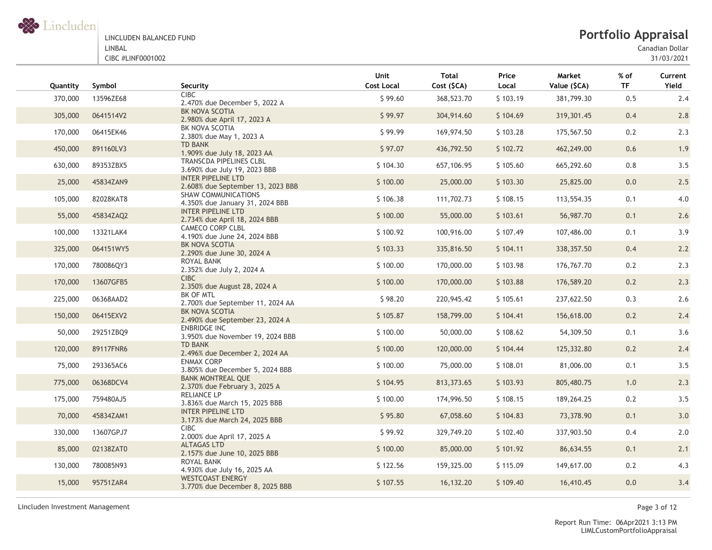

# **Portfolio Appraisal**

Canadian Dollar

31/03/2021

| Quantity | Symbol    | Security                                                      | Unit<br><b>Cost Local</b> | <b>Total</b><br>Cost (\$CA) | Price<br>Local | Market<br>Value (\$CA) | $%$ of<br><b>TF</b> | Current<br>Yield |
|----------|-----------|---------------------------------------------------------------|---------------------------|-----------------------------|----------------|------------------------|---------------------|------------------|
| 370,000  | 13596ZE68 | <b>CIBC</b><br>2.470% due December 5, 2022 A                  | \$99.60                   | 368,523.70                  | \$103.19       | 381,799.30             | 0.5                 | 2.4              |
| 305,000  | 0641514V2 | BK NOVA SCOTIA<br>2.980% due April 17, 2023 A                 | \$99.97                   | 304,914.60                  | \$104.69       | 319,301.45             | 0.4                 | 2.8              |
| 170,000  | 06415EK46 | BK NOVA SCOTIA<br>2.380% due May 1, 2023 A                    | \$99.99                   | 169,974.50                  | \$103.28       | 175,567.50             | 0.2                 | 2.3              |
| 450,000  | 891160LV3 | <b>TD BANK</b><br>1.909% due July 18, 2023 AA                 | \$97.07                   | 436,792.50                  | \$102.72       | 462,249.00             | 0.6                 | 1.9              |
| 630,000  | 89353ZBX5 | TRANSCDA PIPELINES CLBL<br>3.690% due July 19, 2023 BBB       | \$104.30                  | 657,106.95                  | \$105.60       | 665,292.60             | 0.8                 | 3.5              |
| 25,000   | 45834ZAN9 | INTER PIPELINE LTD<br>2.608% due September 13, 2023 BBB       | \$100.00                  | 25,000.00                   | \$103.30       | 25,825.00              | 0.0                 | 2.5              |
| 105,000  | 82028KAT8 | <b>SHAW COMMUNICATIONS</b><br>4.350% due January 31, 2024 BBB | \$106.38                  | 111,702.73                  | \$108.15       | 113,554.35             | 0.1                 | 4.0              |
| 55,000   | 45834ZAQ2 | <b>INTER PIPELINE LTD</b><br>2.734% due April 18, 2024 BBB    | \$100.00                  | 55,000.00                   | \$103.61       | 56,987.70              | 0.1                 | 2.6              |
| 100,000  | 13321LAK4 | <b>CAMECO CORP CLBL</b><br>4.190% due June 24, 2024 BBB       | \$100.92                  | 100,916.00                  | \$107.49       | 107,486.00             | 0.1                 | 3.9              |
| 325,000  | 064151WY5 | BK NOVA SCOTIA<br>2.290% due June 30, 2024 A                  | \$103.33                  | 335,816.50                  | \$104.11       | 338, 357.50            | 0.4                 | 2.2              |
| 170,000  | 780086QY3 | ROYAL BANK<br>2.352% due July 2, 2024 A                       | \$100.00                  | 170,000.00                  | \$103.98       | 176,767.70             | 0.2                 | 2.3              |
| 170,000  | 13607GFB5 | <b>CIBC</b><br>2.350% due August 28, 2024 A                   | \$100.00                  | 170,000.00                  | \$103.88       | 176,589.20             | 0.2                 | 2.3              |
| 225,000  | 06368AAD2 | BK OF MTL<br>2.700% due September 11, 2024 AA                 | \$98.20                   | 220,945.42                  | \$105.61       | 237,622.50             | 0.3                 | 2.6              |
| 150,000  | 06415EXV2 | BK NOVA SCOTIA<br>2.490% due September 23, 2024 A             | \$105.87                  | 158,799.00                  | \$104.41       | 156,618.00             | 0.2                 | 2.4              |
| 50,000   | 29251ZBQ9 | ENBRIDGE INC<br>3.950% due November 19, 2024 BBB              | \$100.00                  | 50,000.00                   | \$108.62       | 54,309.50              | 0.1                 | 3.6              |
| 120,000  | 89117FNR6 | <b>TD BANK</b><br>2.496% due December 2, 2024 AA              | \$100.00                  | 120,000.00                  | \$104.44       | 125,332.80             | 0.2                 | 2.4              |
| 75,000   | 293365AC6 | <b>ENMAX CORP</b><br>3.805% due December 5, 2024 BBB          | \$100.00                  | 75,000.00                   | \$108.01       | 81,006.00              | 0.1                 | 3.5              |
| 775,000  | 06368DCV4 | <b>BANK MONTREAL QUE</b><br>2.370% due February 3, 2025 A     | \$104.95                  | 813,373.65                  | \$103.93       | 805,480.75             | 1.0                 | 2.3              |
| 175,000  | 759480AJ5 | RELIANCE LP<br>3.836% due March 15, 2025 BBB                  | \$100.00                  | 174,996.50                  | \$108.15       | 189,264.25             | 0.2                 | 3.5              |
| 70,000   | 45834ZAM1 | INTER PIPELINE LTD<br>3.173% due March 24, 2025 BBB           | \$95.80                   | 67,058.60                   | \$104.83       | 73,378.90              | 0.1                 | 3.0              |
| 330,000  | 13607GPJ7 | <b>CIBC</b><br>2.000% due April 17, 2025 A                    | \$99.92                   | 329,749.20                  | \$102.40       | 337,903.50             | 0.4                 | 2.0              |
| 85,000   | 02138ZAT0 | <b>ALTAGAS LTD</b><br>2.157% due June 10, 2025 BBB            | \$100.00                  | 85,000.00                   | \$101.92       | 86,634.55              | 0.1                 | 2.1              |
| 130,000  | 780085N93 | ROYAL BANK<br>4.930% due July 16, 2025 AA                     | \$122.56                  | 159,325.00                  | \$115.09       | 149,617.00             | 0.2                 | 4.3              |
| 15,000   | 95751ZAR4 | <b>WESTCOAST ENERGY</b><br>3.770% due December 8, 2025 BBB    | \$107.55                  | 16,132.20                   | \$109.40       | 16,410.45              | 0.0                 | 3.4              |
|          |           |                                                               |                           |                             |                |                        |                     |                  |

Lincluden Investment Management Page 3 of 12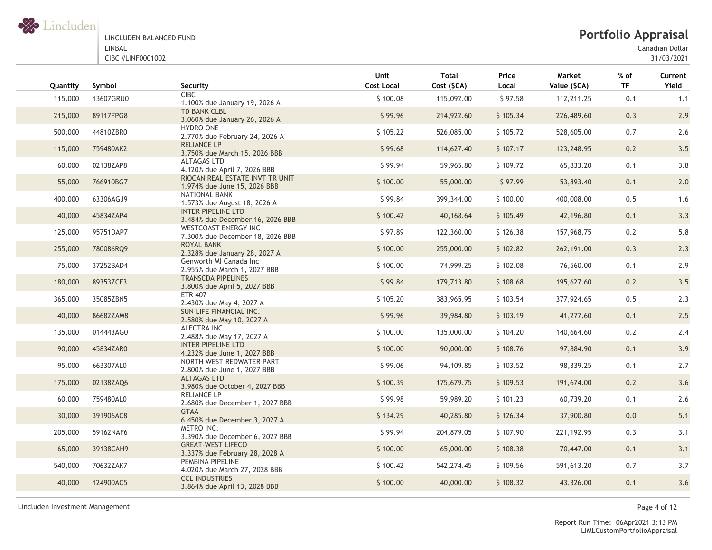

# **Portfolio Appraisal**

Canadian Dollar

31/03/2021

| Quantity | Symbol    | Security                                                        | Unit<br><b>Cost Local</b> | <b>Total</b><br>Cost (\$CA) | Price<br>Local | Market<br>Value (\$CA) | % of<br><b>TF</b> | Current<br>Yield |
|----------|-----------|-----------------------------------------------------------------|---------------------------|-----------------------------|----------------|------------------------|-------------------|------------------|
| 115,000  | 13607GRU0 | <b>CIBC</b><br>1.100% due January 19, 2026 A                    | \$100.08                  | 115,092.00                  | \$97.58        | 112,211.25             | 0.1               | 1.1              |
| 215,000  | 89117FPG8 | <b>TD BANK CLBL</b><br>3.060% due January 26, 2026 A            | \$99.96                   | 214,922.60                  | \$105.34       | 226,489.60             | 0.3               | 2.9              |
| 500,000  | 44810ZBR0 | <b>HYDRO ONE</b><br>2.770% due February 24, 2026 A              | \$105.22                  | 526,085.00                  | \$105.72       | 528,605.00             | 0.7               | 2.6              |
| 115,000  | 759480AK2 | <b>RELIANCE LP</b><br>3.750% due March 15, 2026 BBB             | \$99.68                   | 114,627.40                  | \$107.17       | 123,248.95             | 0.2               | 3.5              |
| 60,000   | 02138ZAP8 | <b>ALTAGAS LTD</b><br>4.120% due April 7, 2026 BBB              | \$99.94                   | 59,965.80                   | \$109.72       | 65,833.20              | 0.1               | 3.8              |
| 55,000   | 766910BG7 | RIOCAN REAL ESTATE INVT TR UNIT<br>1.974% due June 15, 2026 BBB | \$100.00                  | 55,000.00                   | \$97.99        | 53,893.40              | 0.1               | 2.0              |
| 400,000  | 63306AGJ9 | NATIONAL BANK<br>1.573% due August 18, 2026 A                   | \$99.84                   | 399,344.00                  | \$100.00       | 400,008.00             | 0.5               | 1.6              |
| 40,000   | 45834ZAP4 | <b>INTER PIPELINE LTD</b><br>3.484% due December 16, 2026 BBB   | \$100.42                  | 40,168.64                   | \$105.49       | 42,196.80              | 0.1               | 3.3              |
| 125,000  | 95751DAP7 | WESTCOAST ENERGY INC<br>7.300% due December 18, 2026 BBB        | \$97.89                   | 122,360.00                  | \$126.38       | 157,968.75             | 0.2               | 5.8              |
| 255,000  | 780086RQ9 | ROYAL BANK<br>2.328% due January 28, 2027 A                     | \$100.00                  | 255,000.00                  | \$102.82       | 262, 191.00            | 0.3               | 2.3              |
| 75,000   | 37252BAD4 | Genworth MI Canada Inc<br>2.955% due March 1, 2027 BBB          | \$100.00                  | 74,999.25                   | \$102.08       | 76,560.00              | 0.1               | 2.9              |
| 180,000  | 89353ZCF3 | <b>TRANSCDA PIPELINES</b><br>3.800% due April 5, 2027 BBB       | \$99.84                   | 179,713.80                  | \$108.68       | 195,627.60             | 0.2               | 3.5              |
| 365,000  | 35085ZBN5 | <b>ETR 407</b><br>2.430% due May 4, 2027 A                      | \$105.20                  | 383,965.95                  | \$103.54       | 377,924.65             | 0.5               | 2.3              |
| 40,000   | 86682ZAM8 | SUN LIFE FINANCIAL INC.<br>2.580% due May 10, 2027 A            | \$99.96                   | 39,984.80                   | \$103.19       | 41,277.60              | 0.1               | 2.5              |
| 135,000  | 014443AG0 | ALECTRA INC<br>2.488% due May 17, 2027 A                        | \$100.00                  | 135,000.00                  | \$104.20       | 140,664.60             | 0.2               | 2.4              |
| 90,000   | 45834ZAR0 | <b>INTER PIPELINE LTD</b><br>4.232% due June 1, 2027 BBB        | \$100.00                  | 90,000.00                   | \$108.76       | 97,884.90              | 0.1               | 3.9              |
| 95,000   | 663307AL0 | NORTH WEST REDWATER PART<br>2.800% due June 1, 2027 BBB         | \$99.06                   | 94,109.85                   | \$103.52       | 98,339.25              | 0.1               | 2.7              |
| 175,000  | 02138ZAQ6 | <b>ALTAGAS LTD</b><br>3.980% due October 4, 2027 BBB            | \$100.39                  | 175,679.75                  | \$109.53       | 191,674.00             | 0.2               | 3.6              |
| 60,000   | 759480AL0 | <b>RELIANCE LP</b><br>2.680% due December 1, 2027 BBB           | \$99.98                   | 59,989.20                   | \$101.23       | 60,739.20              | 0.1               | 2.6              |
| 30,000   | 391906AC8 | <b>GTAA</b><br>6.450% due December 3, 2027 A                    | \$134.29                  | 40,285.80                   | \$126.34       | 37,900.80              | 0.0               | $5.1$            |
| 205,000  | 59162NAF6 | METRO INC.<br>3.390% due December 6, 2027 BBB                   | \$99.94                   | 204,879.05                  | \$107.90       | 221,192.95             | 0.3               | 3.1              |
| 65,000   | 39138CAH9 | <b>GREAT-WEST LIFECO</b><br>3.337% due February 28, 2028 A      | \$100.00                  | 65,000.00                   | \$108.38       | 70,447.00              | 0.1               | 3.1              |
| 540,000  | 70632ZAK7 | PEMBINA PIPELINE<br>4.020% due March 27, 2028 BBB               | \$100.42                  | 542,274.45                  | \$109.56       | 591,613.20             | 0.7               | 3.7              |
| 40,000   | 124900AC5 | <b>CCL INDUSTRIES</b><br>3.864% due April 13, 2028 BBB          | \$100.00                  | 40,000.00                   | \$108.32       | 43,326.00              | 0.1               | 3.6              |
|          |           |                                                                 |                           |                             |                |                        |                   |                  |

Lincluden Investment Management Page 4 of 12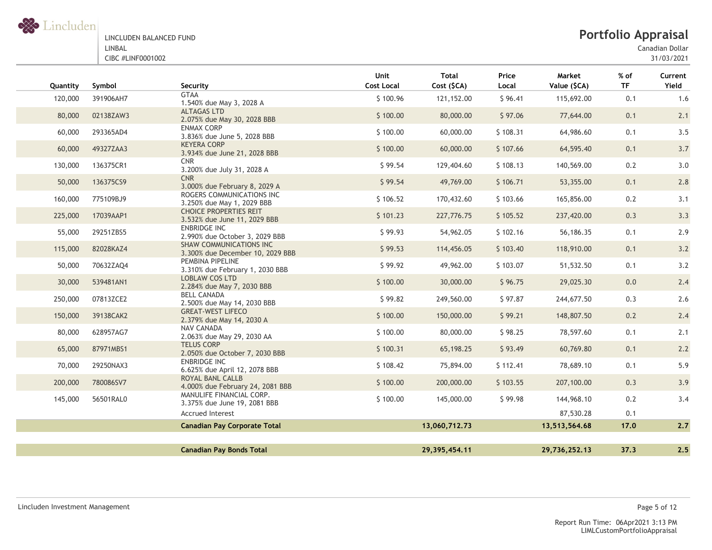

Canadian Dollar

| Quantity | Symbol    | Security                                                            | Unit<br><b>Cost Local</b> | <b>Total</b><br>Cost (\$CA) | Price<br>Local | Market<br>Value (\$CA) | $%$ of<br><b>TF</b> | Current<br>Yield |
|----------|-----------|---------------------------------------------------------------------|---------------------------|-----------------------------|----------------|------------------------|---------------------|------------------|
| 120,000  | 391906AH7 | <b>GTAA</b><br>1.540% due May 3, 2028 A                             | \$100.96                  | 121,152.00                  | \$96.41        | 115,692.00             | 0.1                 | 1.6              |
| 80,000   | 02138ZAW3 | <b>ALTAGAS LTD</b><br>2.075% due May 30, 2028 BBB                   | \$100.00                  | 80,000.00                   | \$97.06        | 77,644.00              | 0.1                 | 2.1              |
| 60,000   | 293365AD4 | <b>ENMAX CORP</b><br>3.836% due June 5, 2028 BBB                    | \$100.00                  | 60,000.00                   | \$108.31       | 64,986.60              | 0.1                 | 3.5              |
| 60,000   | 49327ZAA3 | <b>KEYERA CORP</b><br>3.934% due June 21, 2028 BBB                  | \$100.00                  | 60,000.00                   | \$107.66       | 64,595.40              | 0.1                 | 3.7              |
| 130,000  | 136375CR1 | <b>CNR</b><br>3.200% due July 31, 2028 A                            | \$99.54                   | 129,404.60                  | \$108.13       | 140,569.00             | 0.2                 | 3.0              |
| 50,000   | 136375CS9 | <b>CNR</b><br>3.000% due February 8, 2029 A                         | \$99.54                   | 49,769.00                   | \$106.71       | 53,355.00              | 0.1                 | 2.8              |
| 160,000  | 775109BJ9 | ROGERS COMMUNICATIONS INC<br>3.250% due May 1, 2029 BBB             | \$106.52                  | 170,432.60                  | \$103.66       | 165,856.00             | 0.2                 | 3.1              |
| 225,000  | 17039AAP1 | <b>CHOICE PROPERTIES REIT</b><br>3.532% due June 11, 2029 BBB       | \$101.23                  | 227,776.75                  | \$105.52       | 237,420.00             | 0.3                 | 3.3              |
| 55,000   | 29251ZBS5 | <b>ENBRIDGE INC</b><br>2.990% due October 3, 2029 BBB               | \$99.93                   | 54,962.05                   | \$102.16       | 56,186.35              | 0.1                 | 2.9              |
| 115,000  | 82028KAZ4 | <b>SHAW COMMUNICATIONS INC.</b><br>3.300% due December 10, 2029 BBB | \$99.53                   | 114,456.05                  | \$103.40       | 118,910.00             | 0.1                 | 3.2              |
| 50,000   | 70632ZAQ4 | PEMBINA PIPELINE<br>3.310% due February 1, 2030 BBB                 | \$99.92                   | 49,962.00                   | \$103.07       | 51,532.50              | 0.1                 | 3.2              |
| 30,000   | 539481AN1 | <b>LOBLAW COS LTD</b><br>2.284% due May 7, 2030 BBB                 | \$100.00                  | 30,000.00                   | \$96.75        | 29,025.30              | 0.0                 | 2.4              |
| 250,000  | 07813ZCE2 | <b>BELL CANADA</b><br>2.500% due May 14, 2030 BBB                   | \$99.82                   | 249,560.00                  | \$97.87        | 244,677.50             | 0.3                 | 2.6              |
| 150,000  | 39138CAK2 | <b>GREAT-WEST LIFECO</b><br>2.379% due May 14, 2030 A               | \$100.00                  | 150,000.00                  | \$99.21        | 148,807.50             | 0.2                 | 2.4              |
| 80,000   | 628957AG7 | NAV CANADA<br>2.063% due May 29, 2030 AA                            | \$100.00                  | 80,000.00                   | \$98.25        | 78,597.60              | 0.1                 | 2.1              |
| 65,000   | 87971MBS1 | <b>TELUS CORP</b><br>2.050% due October 7, 2030 BBB                 | \$100.31                  | 65,198.25                   | \$93.49        | 60,769.80              | 0.1                 | 2.2              |
| 70,000   | 29250NAX3 | <b>ENBRIDGE INC</b><br>6.625% due April 12, 2078 BBB                | \$108.42                  | 75,894.00                   | \$112.41       | 78,689.10              | 0.1                 | 5.9              |
| 200,000  | 780086SV7 | <b>ROYAL BANL CALLB</b><br>4.000% due February 24, 2081 BBB         | \$100.00                  | 200,000.00                  | \$103.55       | 207,100.00             | 0.3                 | 3.9              |
| 145,000  | 56501RAL0 | MANULIFE FINANCIAL CORP.<br>3.375% due June 19, 2081 BBB            | \$100.00                  | 145,000.00                  | \$99.98        | 144,968.10             | 0.2                 | 3.4              |
|          |           | <b>Accrued Interest</b>                                             |                           |                             |                | 87,530.28              | 0.1                 |                  |
|          |           | <b>Canadian Pay Corporate Total</b>                                 |                           | 13,060,712.73               |                | 13,513,564.68          | 17.0                | 2.7              |
|          |           |                                                                     |                           |                             |                |                        |                     |                  |
|          |           | <b>Canadian Pay Bonds Total</b>                                     |                           | 29,395,454.11               |                | 29,736,252.13          | 37.3                | 2.5              |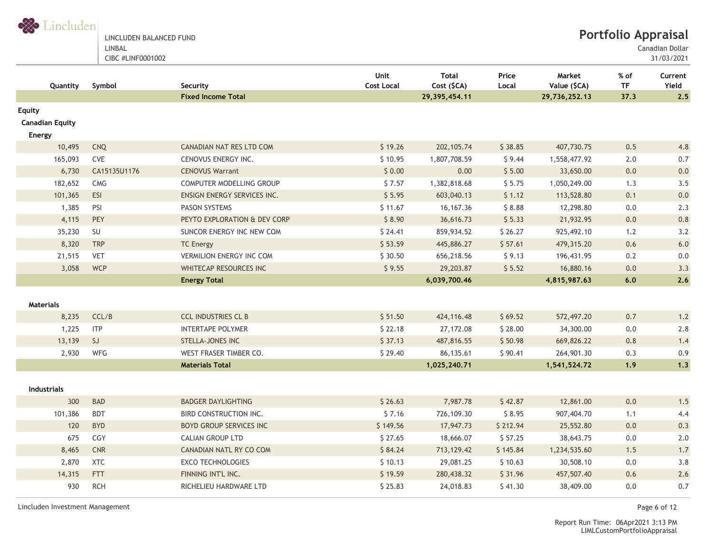

LINCLUDEN BALANCED FUND LINBAL

CIBC #LINF0001002

31/03/2021

| Quantity                                   | Symbol       | Security                        | Unit<br><b>Cost Local</b> | <b>Total</b><br>Cost (\$CA) | Price<br>Local | Market<br>Value (\$CA) | % of<br><b>TF</b> | Current<br>Yield |
|--------------------------------------------|--------------|---------------------------------|---------------------------|-----------------------------|----------------|------------------------|-------------------|------------------|
|                                            |              | <b>Fixed Income Total</b>       |                           | 29, 395, 454.11             |                | 29,736,252.13          | 37.3              | 2.5              |
| Equity<br><b>Canadian Equity</b><br>Energy |              |                                 |                           |                             |                |                        |                   |                  |
| 10,495                                     | CNQ          | CANADIAN NAT RES LTD COM        | \$19.26                   | 202, 105.74                 | \$38.85        | 407,730.75             | 0.5               | 4.8              |
| 165,093                                    | CVE          | CENOVUS ENERGY INC.             | \$10.95                   | 1,807,708.59                | \$9.44         | 1,558,477.92           | 2.0               | 0.7              |
| 6,730                                      | CA15135U1176 | <b>CENOVUS Warrant</b>          | \$0.00                    | 0.00                        | \$5.00         | 33,650.00              | 0.0               | 0.0              |
| 182,652                                    | CMG          | COMPUTER MODELLING GROUP        | \$7.57                    | 1,382,818.68                | \$5.75         | 1,050,249.00           | 1.3               | 3.5              |
| 101,365                                    | ESI          | ENSIGN ENERGY SERVICES INC.     | \$5.95                    | 603,040.13                  | \$1.12         | 113,528.80             | 0.1               | 0.0              |
| 1,385                                      | PSI          | <b>PASON SYSTEMS</b>            | \$11.67                   | 16,167.36                   | \$8.88         | 12,298.80              | $0.0\,$           | 2.3              |
| 4,115                                      | PEY          | PEYTO EXPLORATION & DEV CORP    | \$8.90                    | 36,616.73                   | \$5.33         | 21,932.95              | 0.0               | 0.8              |
| 35,230                                     | SU           | SUNCOR ENERGY INC NEW COM       | \$24.41                   | 859,934.52                  | \$26.27        | 925,492.10             | 1.2               | 3.2              |
| 8,320                                      | <b>TRP</b>   | <b>TC Energy</b>                | \$53.59                   | 445,886.27                  | \$57.61        | 479,315.20             | 0.6               | 6.0              |
| 21,515                                     | <b>VET</b>   | <b>VERMILION ENERGY INC COM</b> | \$30.50                   | 656,218.56                  | \$9.13         | 196,431.95             | 0.2               | 0.0              |
| 3,058                                      | <b>WCP</b>   | WHITECAP RESOURCES INC          | \$9.55                    | 29,203.87                   | \$5.52         | 16,880.16              | 0.0               | 3.3              |
|                                            |              | <b>Energy Total</b>             |                           | 6,039,700.46                |                | 4,815,987.63           | 6.0               | 2.6              |
| <b>Materials</b>                           |              |                                 |                           |                             |                |                        |                   |                  |
| 8,235                                      | CCL/B        | <b>CCL INDUSTRIES CL B</b>      | \$51.50                   | 424,116.48                  | \$69.52        | 572,497.20             | 0.7               | 1.2              |
| 1,225                                      | <b>ITP</b>   | <b>INTERTAPE POLYMER</b>        | \$22.18                   | 27,172.08                   | \$28.00        | 34,300.00              | 0.0               | 2.8              |
| 13,139                                     | SJ           | STELLA-JONES INC                | \$37.13                   | 487,816.55                  | \$50.98        | 669,826.22             | 0.8               | 1.4              |
| 2,930                                      | WFG          | WEST FRASER TIMBER CO.          | \$29.40                   | 86,135.61                   | \$90.41        | 264,901.30             | 0.3               | 0.9              |
|                                            |              | <b>Materials Total</b>          |                           | 1,025,240.71                |                | 1,541,524.72           | 1.9               | 1.3              |
| <b>Industrials</b>                         |              |                                 |                           |                             |                |                        |                   |                  |
| 300                                        | BAD          | <b>BADGER DAYLIGHTING</b>       | \$26.63                   | 7,987.78                    | \$42.87        | 12,861.00              | 0.0               | 1.5              |
| 101,386                                    | <b>BDT</b>   | BIRD CONSTRUCTION INC.          | \$7.16                    | 726,109.30                  | \$8.95         | 907,404.70             | 1.1               | 4.4              |
| 120                                        | <b>BYD</b>   | <b>BOYD GROUP SERVICES INC</b>  | \$149.56                  | 17,947.73                   | \$212.94       | 25,552.80              | 0.0               | 0.3              |
| 675                                        | CGY          | <b>CALIAN GROUP LTD</b>         | \$27.65                   | 18,666.07                   | \$57.25        | 38,643.75              | 0.0               | 2.0              |
| 8,465                                      | <b>CNR</b>   | CANADIAN NATL RY CO COM         | \$84.24                   | 713, 129.42                 | \$145.84       | 1,234,535.60           | 1.5               | 1.7              |
| 2,870                                      | <b>XTC</b>   | <b>EXCO TECHNOLOGIES</b>        | \$10.13                   | 29,081.25                   | \$10.63        | 30,508.10              | 0.0               | 3.8              |
| 14,315                                     | FTT          | FINNING INT'L INC.              | \$19.59                   | 280,438.32                  | \$31.96        | 457,507.40             | 0.6               | 2.6              |
| 930                                        | <b>RCH</b>   | RICHELIEU HARDWARE LTD          | \$25.83                   | 24,018.83                   | \$41.30        | 38,409.00              | 0.0               | 0.7              |

Lincluden Investment Management Page 6 of 12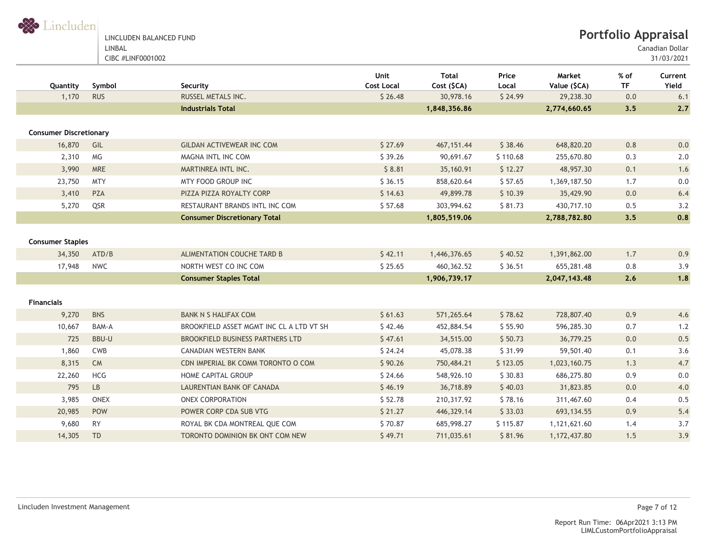LINCLUDEN BALANCED FUND LINBAL CIBC #LINF0001002

Canadian Dollar

| Quantity                      | Symbol                 | Security                                 | Unit<br><b>Cost Local</b> | <b>Total</b><br>Cost (\$CA) | Price<br>Local | Market<br>Value (\$CA) | % of<br><b>TF</b> | Current<br>Yield |
|-------------------------------|------------------------|------------------------------------------|---------------------------|-----------------------------|----------------|------------------------|-------------------|------------------|
| 1,170                         | <b>RUS</b>             | RUSSEL METALS INC.                       | \$26.48                   | 30,978.16                   | \$24.99        | 29,238.30              | 0.0               | 6.1              |
|                               |                        | <b>Industrials Total</b>                 |                           | 1,848,356.86                |                | 2,774,660.65           | 3.5               | 2.7              |
|                               |                        |                                          |                           |                             |                |                        |                   |                  |
| <b>Consumer Discretionary</b> |                        |                                          |                           |                             |                |                        |                   |                  |
| 16,870                        | GIL                    | <b>GILDAN ACTIVEWEAR INC COM</b>         | \$27.69                   | 467, 151.44                 | \$38.46        | 648,820.20             | 0.8               | 0.0              |
| 2,310                         | <b>MG</b>              | MAGNA INTL INC COM                       | \$39.26                   | 90,691.67                   | \$110.68       | 255,670.80             | 0.3               | 2.0              |
| 3,990                         | <b>MRE</b>             | MARTINREA INTL INC.                      | \$8.81                    | 35,160.91                   | \$12.27        | 48,957.30              | 0.1               | 1.6              |
| 23,750                        | <b>MTY</b>             | MTY FOOD GROUP INC                       | \$36.15                   | 858,620.64                  | \$57.65        | 1,369,187.50           | 1.7               | 0.0              |
| 3,410                         | <b>PZA</b>             | PIZZA PIZZA ROYALTY CORP                 | \$14.63                   | 49,899.78                   | \$10.39        | 35,429.90              | 0.0               | 6.4              |
| 5,270                         | QSR                    | RESTAURANT BRANDS INTL INC COM           | \$57.68                   | 303,994.62                  | \$81.73        | 430,717.10             | 0.5               | 3.2              |
|                               |                        | <b>Consumer Discretionary Total</b>      |                           | 1,805,519.06                |                | 2,788,782.80           | 3.5               | 0.8              |
|                               |                        |                                          |                           |                             |                |                        |                   |                  |
| <b>Consumer Staples</b>       |                        |                                          |                           |                             |                |                        |                   |                  |
| 34,350                        | ATD/B                  | ALIMENTATION COUCHE TARD B               | \$42.11                   | 1,446,376.65                | \$40.52        | 1,391,862.00           | 1.7               | 0.9              |
| 17,948                        | <b>NWC</b>             | NORTH WEST CO INC COM                    | \$25.65                   | 460,362.52                  | \$36.51        | 655,281.48             | 0.8               | 3.9              |
|                               |                        | <b>Consumer Staples Total</b>            |                           | 1,906,739.17                |                | 2,047,143.48           | 2.6               | 1.8              |
|                               |                        |                                          |                           |                             |                |                        |                   |                  |
| <b>Financials</b>             |                        |                                          |                           |                             |                |                        |                   |                  |
| 9,270                         | <b>BNS</b>             | <b>BANK N S HALIFAX COM</b>              | \$61.63                   | 571,265.64                  | \$78.62        | 728,807.40             | 0.9               | 4.6              |
| 10,667                        | BAM-A                  | BROOKFIELD ASSET MGMT INC CL A LTD VT SH | \$42.46                   | 452,884.54                  | \$55.90        | 596,285.30             | 0.7               | 1.2              |
| 725                           | <b>BBU-U</b>           | <b>BROOKFIELD BUSINESS PARTNERS LTD</b>  | \$47.61                   | 34,515.00                   | \$50.73        | 36,779.25              | 0.0               | 0.5              |
| 1,860                         | <b>CWB</b>             | CANADIAN WESTERN BANK                    | \$24.24                   | 45,078.38                   | \$31.99        | 59,501.40              | 0.1               | 3.6              |
| 8,315                         | <b>CM</b>              | CDN IMPERIAL BK COMM TORONTO O COM       | \$90.26                   | 750,484.21                  | \$123.05       | 1,023,160.75           | 1.3               | 4.7              |
| 22,260                        | <b>HCG</b>             | <b>HOME CAPITAL GROUP</b>                | \$24.66                   | 548,926.10                  | \$30.83        | 686,275.80             | 0.9               | $0.0\,$          |
| 795                           | $\mathsf{L}\mathsf{B}$ | LAURENTIAN BANK OF CANADA                | \$46.19                   | 36,718.89                   | \$40.03        | 31,823.85              | 0.0               | 4.0              |
| 3,985                         | <b>ONEX</b>            | ONEX CORPORATION                         | \$52.78                   | 210,317.92                  | \$78.16        | 311,467.60             | 0.4               | 0.5              |
| 20,985                        | POW                    | POWER CORP CDA SUB VTG                   | \$21.27                   | 446,329.14                  | \$33.03        | 693, 134.55            | 0.9               | 5.4              |
| 9,680                         | <b>RY</b>              | ROYAL BK CDA MONTREAL QUE COM            | \$70.87                   | 685,998.27                  | \$115.87       | 1,121,621.60           | 1.4               | 3.7              |
| 14,305                        | <b>TD</b>              | TORONTO DOMINION BK ONT COM NEW          | \$49.71                   | 711,035.61                  | \$81.96        | 1,172,437.80           | 1.5               | 3.9              |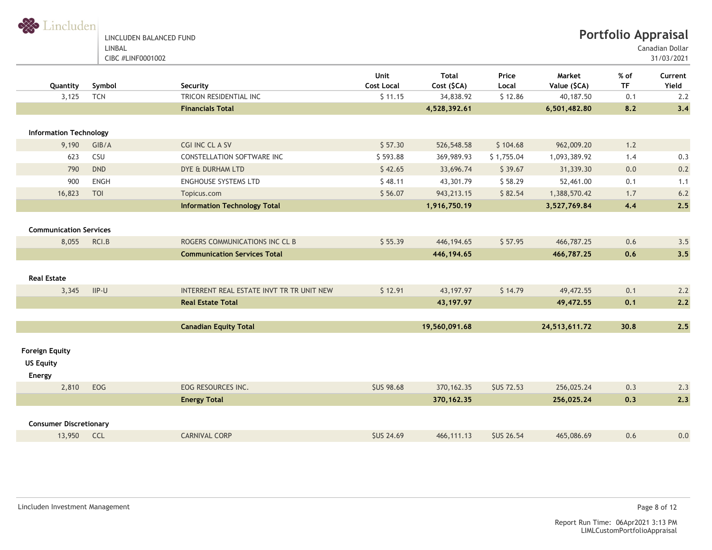LINCLUDEN BALANCED FUND LINBAL

Canadian Dollar

| Quantity                      | Symbol      | Security                                  | Unit<br><b>Cost Local</b> | <b>Total</b><br>Cost (\$CA) | Price<br>Local   | Market<br>Value (\$CA) | $%$ of<br><b>TF</b> | Current<br>Yield |
|-------------------------------|-------------|-------------------------------------------|---------------------------|-----------------------------|------------------|------------------------|---------------------|------------------|
| 3,125                         | <b>TCN</b>  | TRICON RESIDENTIAL INC                    | \$11.15                   | 34,838.92                   | \$12.86          | 40,187.50              | 0.1                 | 2.2              |
|                               |             | <b>Financials Total</b>                   |                           | 4,528,392.61                |                  | 6,501,482.80           | 8.2                 | 3,4              |
|                               |             |                                           |                           |                             |                  |                        |                     |                  |
| <b>Information Technology</b> |             |                                           |                           |                             |                  |                        |                     |                  |
| 9,190                         | GIB/A       | CGI INC CL A SV                           | \$57.30                   | 526,548.58                  | \$104.68         | 962,009.20             | 1.2                 |                  |
| 623                           | CSU         | CONSTELLATION SOFTWARE INC                | \$593.88                  | 369,989.93                  | \$1,755.04       | 1,093,389.92           | 1.4                 | 0.3              |
| 790                           | <b>DND</b>  | DYE & DURHAM LTD                          | \$42.65                   | 33,696.74                   | \$39.67          | 31,339.30              | 0.0                 | 0.2              |
| 900                           | <b>ENGH</b> | <b>ENGHOUSE SYSTEMS LTD</b>               | \$48.11                   | 43,301.79                   | \$58.29          | 52,461.00              | 0.1                 | 1.1              |
| 16,823                        | TOI         | Topicus.com                               | \$56.07                   | 943, 213. 15                | \$82.54          | 1,388,570.42           | 1.7                 | $6.2$            |
|                               |             | <b>Information Technology Total</b>       |                           | 1,916,750.19                |                  | 3,527,769.84           | 4,4                 | 2.5              |
|                               |             |                                           |                           |                             |                  |                        |                     |                  |
| <b>Communication Services</b> |             |                                           |                           |                             |                  |                        |                     |                  |
| 8,055                         | RCI.B       | ROGERS COMMUNICATIONS INC CL B            | \$55.39                   | 446, 194.65                 | \$57.95          | 466,787.25             | 0.6                 | 3.5              |
|                               |             | <b>Communication Services Total</b>       |                           | 446, 194.65                 |                  | 466,787.25             | 0.6                 | 3.5              |
|                               |             |                                           |                           |                             |                  |                        |                     |                  |
| <b>Real Estate</b>            |             |                                           |                           |                             |                  |                        |                     |                  |
| 3,345                         | $IIP-U$     | INTERRENT REAL ESTATE INVT TR TR UNIT NEW | \$12.91                   | 43, 197. 97                 | \$14.79          | 49,472.55              | 0.1                 | 2.2              |
|                               |             | <b>Real Estate Total</b>                  |                           | 43, 197. 97                 |                  | 49,472.55              | 0.1                 | 2.2              |
|                               |             |                                           |                           |                             |                  |                        |                     |                  |
|                               |             | <b>Canadian Equity Total</b>              |                           | 19,560,091.68               |                  | 24,513,611.72          | 30.8                | 2.5              |
|                               |             |                                           |                           |                             |                  |                        |                     |                  |
| <b>Foreign Equity</b>         |             |                                           |                           |                             |                  |                        |                     |                  |
| <b>US Equity</b>              |             |                                           |                           |                             |                  |                        |                     |                  |
| Energy                        |             |                                           |                           |                             |                  |                        |                     |                  |
| 2,810                         | EOG         | EOG RESOURCES INC.                        | <b>SUS 98.68</b>          | 370, 162. 35                | <b>SUS 72.53</b> | 256,025.24             | 0.3                 | 2.3              |
|                               |             | <b>Energy Total</b>                       |                           | 370, 162.35                 |                  | 256,025.24             | 0.3                 | 2.3              |
|                               |             |                                           |                           |                             |                  |                        |                     |                  |
| <b>Consumer Discretionary</b> |             |                                           |                           |                             |                  |                        |                     |                  |
| 13,950 CCL                    |             | <b>CARNIVAL CORP</b>                      | <b>SUS 24.69</b>          | 466, 111.13                 | <b>SUS 26.54</b> | 465,086.69             | 0.6                 | $0.0\,$          |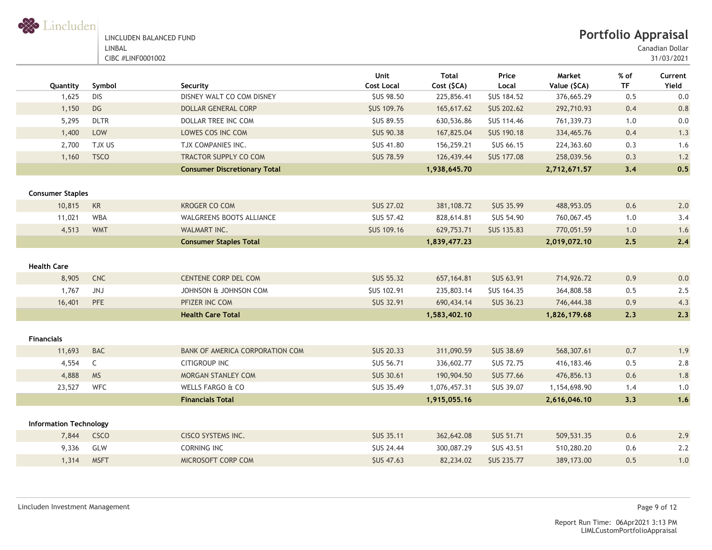| Lincluder |  |  |
|-----------|--|--|

| LINCLUDEN BALANCED FUND |
|-------------------------|
| LINBAL                  |
| CIBC #LINF0001002       |

Canadian Dollar

| Quantity                      | Symbol               | Security                            | Unit<br><b>Cost Local</b> | <b>Total</b><br>Cost (\$CA) | Price<br>Local     | Market<br>Value (\$CA) | % of<br><b>TF</b> | Current<br>Yield |
|-------------------------------|----------------------|-------------------------------------|---------------------------|-----------------------------|--------------------|------------------------|-------------------|------------------|
| 1,625                         | <b>DIS</b>           | DISNEY WALT CO COM DISNEY           | <b>SUS 98.50</b>          | 225,856.41                  | <b>\$US 184.52</b> | 376,665.29             | 0.5               | 0.0              |
| 1,150                         | $DG$                 | <b>DOLLAR GENERAL CORP</b>          | <b>\$US 109.76</b>        | 165,617.62                  | <b>\$US 202.62</b> | 292,710.93             | 0.4               | 0.8              |
| 5,295                         | <b>DLTR</b>          | DOLLAR TREE INC COM                 | <b>\$US 89.55</b>         | 630,536.86                  | <b>\$US 114.46</b> | 761,339.73             | $1.0$             | 0.0              |
| 1,400                         | LOW                  | LOWES COS INC COM                   | <b>\$US 90.38</b>         | 167,825.04                  | <b>\$US 190.18</b> | 334,465.76             | 0.4               | 1.3              |
| 2,700                         | TJX US               | TJX COMPANIES INC.                  | <b>\$US 41.80</b>         | 156,259.21                  | \$US 66.15         | 224,363.60             | 0.3               | 1.6              |
| 1,160                         | <b>TSCO</b>          | <b>TRACTOR SUPPLY CO COM</b>        | <b>SUS 78.59</b>          | 126,439.44                  | <b>SUS 177.08</b>  | 258,039.56             | 0.3               | 1.2              |
|                               |                      | <b>Consumer Discretionary Total</b> |                           | 1,938,645.70                |                    | 2,712,671.57           | 3,4               | 0.5              |
| <b>Consumer Staples</b>       |                      |                                     |                           |                             |                    |                        |                   |                  |
| 10,815                        | $\mathsf{KR}\xspace$ | <b>KROGER CO COM</b>                | <b>\$US 27.02</b>         | 381,108.72                  | <b>\$US 35.99</b>  | 488,953.05             | 0.6               | 2.0              |
| 11,021                        | <b>WBA</b>           | <b>WALGREENS BOOTS ALLIANCE</b>     | SUS 57.42                 | 828,614.81                  | <b>SUS 54.90</b>   | 760,067.45             | 1.0               | 3.4              |
| 4,513                         | <b>WMT</b>           | WALMART INC.                        | <b>\$US 109.16</b>        | 629,753.71                  | <b>SUS 135.83</b>  | 770,051.59             | 1.0               | 1.6              |
|                               |                      | <b>Consumer Staples Total</b>       |                           | 1,839,477.23                |                    | 2,019,072.10           | 2.5               | 2.4              |
|                               |                      |                                     |                           |                             |                    |                        |                   |                  |
| <b>Health Care</b>            |                      |                                     |                           |                             |                    |                        |                   |                  |
| 8,905                         | <b>CNC</b>           | CENTENE CORP DEL COM                | <b>SUS 55.32</b>          | 657, 164.81                 | <b>\$US 63.91</b>  | 714,926.72             | 0.9               | 0.0              |
| 1,767                         | JNJ                  | JOHNSON & JOHNSON COM               | <b>\$US 102.91</b>        | 235,803.14                  | \$US 164.35        | 364,808.58             | 0.5               | 2.5              |
| 16,401                        | PFE                  | PFIZER INC COM                      | <b>\$US 32.91</b>         | 690,434.14                  | <b>\$US 36.23</b>  | 746,444.38             | 0.9               | 4.3              |
|                               |                      | <b>Health Care Total</b>            |                           | 1,583,402.10                |                    | 1,826,179.68           | 2.3               | 2.3              |
| <b>Financials</b>             |                      |                                     |                           |                             |                    |                        |                   |                  |
| 11,693                        | <b>BAC</b>           | BANK OF AMERICA CORPORATION COM     | <b>\$US 20.33</b>         | 311,090.59                  | <b>\$US 38.69</b>  | 568,307.61             | $0.7\,$           | 1.9              |
| 4,554                         | $\mathsf{C}$         | <b>CITIGROUP INC</b>                | <b>\$US 56.71</b>         | 336,602.77                  | <b>\$US 72.75</b>  | 416, 183.46            | 0.5               | 2.8              |
| 4,888                         | <b>MS</b>            | MORGAN STANLEY COM                  | <b>\$US 30.61</b>         | 190,904.50                  | <b>\$US 77.66</b>  | 476,856.13             | 0.6               | 1.8              |
| 23,527                        | <b>WFC</b>           | WELLS FARGO & CO                    | <b>\$US 35.49</b>         | 1,076,457.31                | <b>\$US 39.07</b>  | 1,154,698.90           | 1.4               | 1.0              |
|                               |                      | <b>Financials Total</b>             |                           | 1,915,055.16                |                    | 2,616,046.10           | 3,3               | 1.6              |
|                               |                      |                                     |                           |                             |                    |                        |                   |                  |
| <b>Information Technology</b> |                      |                                     |                           |                             |                    |                        |                   |                  |
| 7,844                         | <b>CSCO</b>          | <b>CISCO SYSTEMS INC.</b>           | <b>SUS 35.11</b>          | 362,642.08                  | <b>\$US 51.71</b>  | 509,531.35             | 0.6               | 2.9              |
| 9,336                         | GLW                  | <b>CORNING INC</b>                  | <b>\$US 24.44</b>         | 300,087.29                  | <b>SUS 43.51</b>   | 510,280.20             | 0.6               | 2.2              |
| 1,314                         | <b>MSFT</b>          | MICROSOFT CORP COM                  | <b>\$US 47.63</b>         | 82,234.02                   | <b>\$US 235.77</b> | 389,173.00             | 0.5               | 1.0              |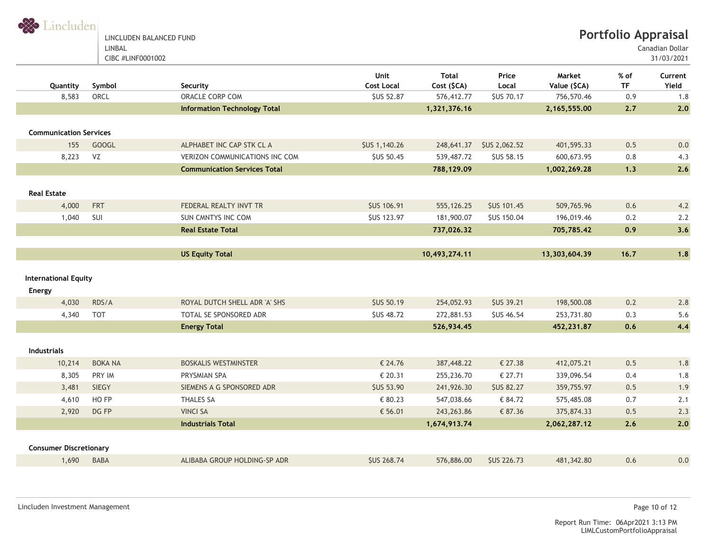LINCLUDEN BALANCED FUND LINBAL CIBC #LINF0001002

Canadian Dollar

| Quantity                              | Symbol         | Security                              | Unit<br><b>Cost Local</b> | <b>Total</b><br>Cost (\$CA) | Price<br>Local       | Market<br>Value (\$CA) | % of<br><b>TF</b> | Current<br>Yield |
|---------------------------------------|----------------|---------------------------------------|---------------------------|-----------------------------|----------------------|------------------------|-------------------|------------------|
| 8,583                                 | ORCL           | ORACLE CORP COM                       | <b>\$US 52.87</b>         | 576,412.77                  | <b>SUS 70.17</b>     | 756,570.46             | 0.9               | 1.8              |
|                                       |                | <b>Information Technology Total</b>   |                           | 1,321,376.16                |                      | 2,165,555.00           | 2.7               | 2.0              |
| <b>Communication Services</b>         |                |                                       |                           |                             |                      |                        |                   |                  |
| 155                                   | <b>GOOGL</b>   | ALPHABET INC CAP STK CL A             | <b>\$US 1,140.26</b>      | 248,641.37                  | <b>\$US 2,062.52</b> | 401,595.33             | 0.5               | 0.0              |
| 8,223                                 | VZ             | <b>VERIZON COMMUNICATIONS INC COM</b> | <b>\$US 50.45</b>         | 539,487.72                  | <b>\$US 58.15</b>    | 600,673.95             | 0.8               | 4.3              |
|                                       |                | <b>Communication Services Total</b>   |                           | 788,129.09                  |                      | 1,002,269.28           | 1,3               | 2.6              |
| <b>Real Estate</b>                    |                |                                       |                           |                             |                      |                        |                   |                  |
| 4,000                                 | <b>FRT</b>     | FEDERAL REALTY INVT TR                | <b>SUS 106.91</b>         | 555,126.25                  | <b>\$US 101.45</b>   | 509,765.96             | 0.6               | 4.2              |
| 1,040                                 | SUI            | <b>SUN CMNTYS INC COM</b>             | <b>\$US 123.97</b>        | 181,900.07                  | <b>\$US 150.04</b>   | 196,019.46             | 0.2               | 2.2              |
|                                       |                | <b>Real Estate Total</b>              |                           | 737,026.32                  |                      | 705,785.42             | 0.9               | 3.6              |
|                                       |                |                                       |                           |                             |                      |                        |                   |                  |
|                                       |                | <b>US Equity Total</b>                |                           | 10,493,274.11               |                      | 13,303,604.39          | 16.7              | 1.8              |
| <b>International Equity</b><br>Energy |                |                                       |                           |                             |                      |                        |                   |                  |
| 4,030                                 | RDS/A          | ROYAL DUTCH SHELL ADR 'A' SHS         | <b>\$US 50.19</b>         | 254,052.93                  | <b>\$US 39.21</b>    | 198,500.08             | 0.2               | 2.8              |
| 4,340                                 | <b>TOT</b>     | TOTAL SE SPONSORED ADR                | <b>\$US 48.72</b>         | 272,881.53                  | <b>\$US 46.54</b>    | 253,731.80             | 0.3               | 5.6              |
|                                       |                | <b>Energy Total</b>                   |                           | 526,934.45                  |                      | 452,231.87             | 0.6               | 4,4              |
| <b>Industrials</b>                    |                |                                       |                           |                             |                      |                        |                   |                  |
| 10,214                                | <b>BOKA NA</b> | <b>BOSKALIS WESTMINSTER</b>           | € 24.76                   | 387,448.22                  | € 27.38              | 412,075.21             | 0.5               | 1.8              |
| 8,305                                 | PRY IM         | PRYSMIAN SPA                          | € 20.31                   | 255,236.70                  | € 27.71              | 339,096.54             | 0.4               | 1.8              |
| 3,481                                 | <b>SIEGY</b>   | SIEMENS A G SPONSORED ADR             | <b>SUS 53.90</b>          | 241,926.30                  | <b>SUS 82.27</b>     | 359,755.97             | 0.5               | 1.9              |
| 4,610                                 | HO FP          | <b>THALES SA</b>                      | € 80.23                   | 547,038.66                  | € 84.72              | 575,485.08             | 0.7               | 2.1              |
| 2,920                                 | DG FP          | <b>VINCI SA</b>                       | € 56.01                   | 243, 263.86                 | € 87.36              | 375,874.33             | 0.5               | 2.3              |
|                                       |                | <b>Industrials Total</b>              |                           | 1,674,913.74                |                      | 2,062,287.12           | 2.6               | 2.0              |
| <b>Consumer Discretionary</b>         |                |                                       |                           |                             |                      |                        |                   |                  |
| 1,690                                 | <b>BABA</b>    | ALIBABA GROUP HOLDING-SP ADR          | <b>SUS 268.74</b>         | 576,886.00                  | <b>SUS 226.73</b>    | 481,342.80             | 0.6               | 0.0              |
|                                       |                |                                       |                           |                             |                      |                        |                   |                  |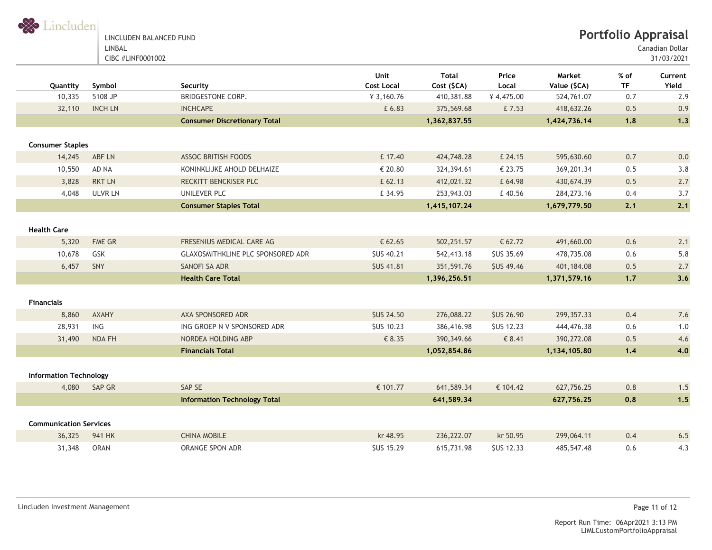

31/03/2021 Canadian Dollar

| Quantity                      | Symbol         | Security                            | Unit<br><b>Cost Local</b> | <b>Total</b><br>Cost (\$CA) | Price<br>Local    | Market<br>Value (\$CA) | $%$ of<br><b>TF</b> | Current<br>Yield |
|-------------------------------|----------------|-------------------------------------|---------------------------|-----------------------------|-------------------|------------------------|---------------------|------------------|
| 10,335                        | 5108 JP        | <b>BRIDGESTONE CORP.</b>            | ¥ 3,160.76                | 410,381.88                  | ¥4,475.00         | 524,761.07             | 0.7                 | 2.9              |
| 32,110                        | <b>INCH LN</b> | <b>INCHCAPE</b>                     | £ 6.83                    | 375,569.68                  | £7.53             | 418,632.26             | 0.5                 | 0.9              |
|                               |                | <b>Consumer Discretionary Total</b> |                           | 1,362,837.55                |                   | 1,424,736.14           | 1.8                 | 1.3              |
| <b>Consumer Staples</b>       |                |                                     |                           |                             |                   |                        |                     |                  |
| 14,245                        | ABF LN         | <b>ASSOC BRITISH FOODS</b>          | £ 17.40                   | 424,748.28                  | £ 24.15           | 595,630.60             | 0.7                 | 0.0              |
| 10,550                        | AD NA          | KONINKLIJKE AHOLD DELHAIZE          | € 20.80                   | 324,394.61                  | € 23.75           | 369,201.34             | 0.5                 | 3.8              |
| 3,828                         | <b>RKT LN</b>  | RECKITT BENCKISER PLC               | £ 62.13                   | 412,021.32                  | £ 64.98           | 430,674.39             | 0.5                 | 2.7              |
| 4,048                         | <b>ULVR LN</b> | UNILEVER PLC                        | £ 34.95                   | 253,943.03                  | £40.56            | 284, 273. 16           | 0.4                 | 3.7              |
|                               |                | <b>Consumer Staples Total</b>       |                           | 1,415,107.24                |                   | 1,679,779.50           | 2.1                 | 2.1              |
| <b>Health Care</b>            |                |                                     |                           |                             |                   |                        |                     |                  |
| 5,320                         | FME GR         | FRESENIUS MEDICAL CARE AG           | € 62.65                   | 502,251.57                  | € 62.72           | 491,660.00             | 0.6                 | 2.1              |
| 10,678                        | GSK            | GLAXOSMITHKLINE PLC SPONSORED ADR   | <b>\$US 40.21</b>         | 542,413.18                  | <b>\$US 35.69</b> | 478,735.08             | 0.6                 | 5.8              |
| 6,457                         | SNY            | SANOFI SA ADR                       | <b>SUS 41.81</b>          | 351,591.76                  | <b>\$US 49.46</b> | 401,184.08             | 0.5                 | 2.7              |
|                               |                | <b>Health Care Total</b>            |                           | 1,396,256.51                |                   | 1,371,579.16           | $1.7$               | 3.6              |
| <b>Financials</b>             |                |                                     |                           |                             |                   |                        |                     |                  |
| 8,860                         | AXAHY          | AXA SPONSORED ADR                   | <b>SUS 24.50</b>          | 276,088.22                  | <b>\$US 26.90</b> | 299, 357. 33           | 0.4                 | 7.6              |
| 28,931                        | ING            | ING GROEP N V SPONSORED ADR         | SUS 10.23                 | 386,416.98                  | <b>\$US 12.23</b> | 444,476.38             | 0.6                 | 1.0              |
| 31,490                        | NDA FH         | NORDEA HOLDING ABP                  | € 8.35                    | 390,349.66                  | € 8.41            | 390,272.08             | 0.5                 | 4.6              |
|                               |                | <b>Financials Total</b>             |                           | 1,052,854.86                |                   | 1,134,105.80           | 1.4                 | 4.0              |
| <b>Information Technology</b> |                |                                     |                           |                             |                   |                        |                     |                  |
| 4,080                         | SAP GR         | SAP SE                              | € 101.77                  | 641,589.34                  | € 104.42          | 627,756.25             | 0.8                 | 1.5              |
|                               |                | <b>Information Technology Total</b> |                           | 641,589.34                  |                   | 627,756.25             | 0.8                 | 1.5              |
|                               |                |                                     |                           |                             |                   |                        |                     |                  |
| <b>Communication Services</b> |                |                                     |                           |                             |                   |                        |                     |                  |
| 36,325                        | 941 HK         | <b>CHINA MOBILE</b>                 | kr 48.95                  | 236, 222.07                 | kr 50.95          | 299,064.11             | 0.4                 | 6.5              |
| 31,348                        | <b>ORAN</b>    | ORANGE SPON ADR                     | <b>\$US 15.29</b>         | 615,731.98                  | <b>\$US 12.33</b> | 485,547.48             | 0.6                 | 4.3              |